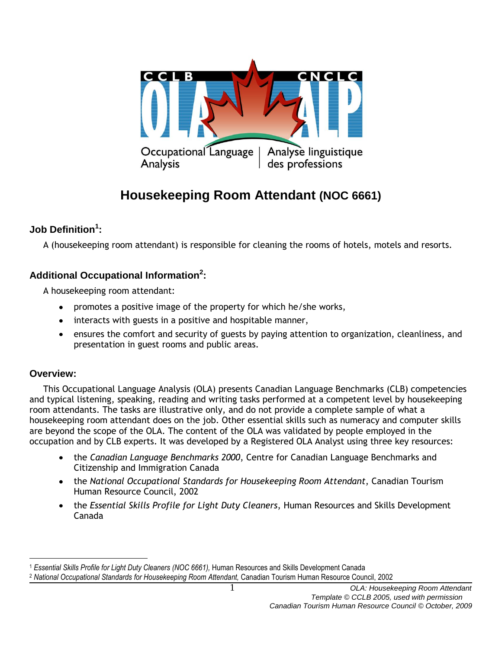

# **Housekeeping Room Attendant (NOC 6661)**

## **Job Definition<sup>1</sup> :**

A (housekeeping room attendant) is responsible for cleaning the rooms of hotels, motels and resorts.

## **Additional Occupational Information<sup>2</sup> :**

A housekeeping room attendant:

- promotes a positive image of the property for which he/she works,
- interacts with guests in a positive and hospitable manner,
- ensures the comfort and security of guests by paying attention to organization, cleanliness, and presentation in guest rooms and public areas.

## **Overview:**

 This Occupational Language Analysis (OLA) presents Canadian Language Benchmarks (CLB) competencies and typical listening, speaking, reading and writing tasks performed at a competent level by housekeeping room attendants. The tasks are illustrative only, and do not provide a complete sample of what a housekeeping room attendant does on the job. Other essential skills such as numeracy and computer skills are beyond the scope of the OLA. The content of the OLA was validated by people employed in the occupation and by CLB experts. It was developed by a Registered OLA Analyst using three key resources:

- the *Canadian Language Benchmarks 2000*, Centre for Canadian Language Benchmarks and Citizenship and Immigration Canada
- the *National Occupational Standards for Housekeeping Room Attendant*, Canadian Tourism Human Resource Council, 2002
- the *Essential Skills Profile for Light Duty Cleaners*, Human Resources and Skills Development Canada

 $\overline{a}$ <sup>1</sup> *Essential Skills Profile for Light Duty Cleaners (NOC 6661),* Human Resources and Skills Development Canada

<sup>2</sup> *National Occupational Standards for Housekeeping Room Attendant,* Canadian Tourism Human Resource Council, 2002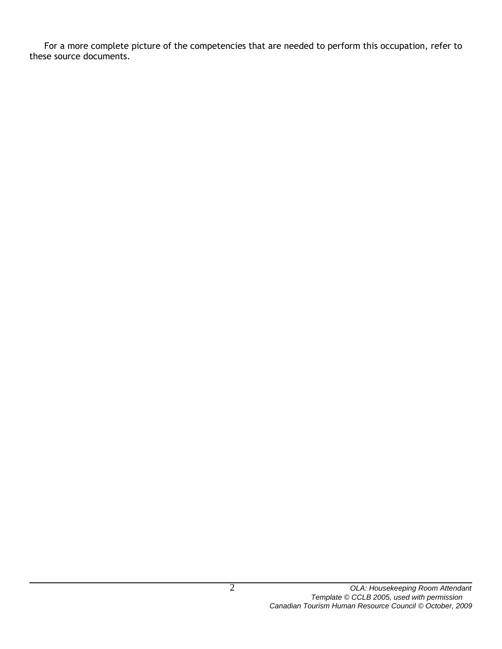For a more complete picture of the competencies that are needed to perform this occupation, refer to these source documents.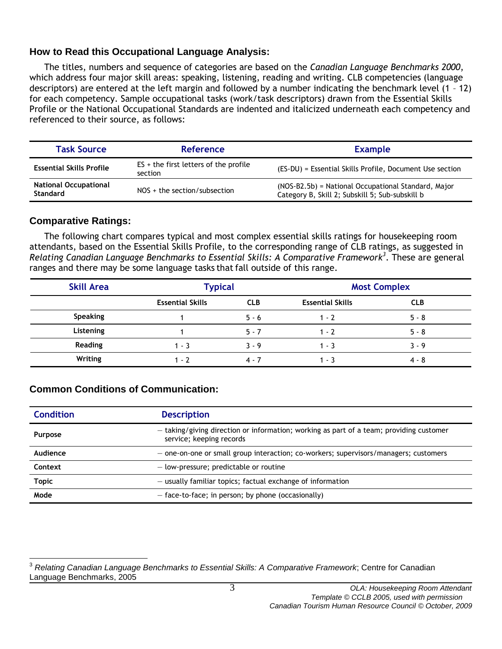## **How to Read this Occupational Language Analysis:**

The titles, numbers and sequence of categories are based on the *Canadian Language Benchmarks 2000*, which address four major skill areas: speaking, listening, reading and writing. CLB competencies (language descriptors) are entered at the left margin and followed by a number indicating the benchmark level (1 – 12) for each competency. Sample occupational tasks (work/task descriptors) drawn from the Essential Skills Profile or the National Occupational Standards are indented and italicized underneath each competency and referenced to their source, as follows:

| <b>Task Source</b>                              | <b>Reference</b>                                   | <b>Example</b>                                                                                         |
|-------------------------------------------------|----------------------------------------------------|--------------------------------------------------------------------------------------------------------|
| <b>Essential Skills Profile</b>                 | $ES + the first letters of the profile$<br>section | (ES-DU) = Essential Skills Profile, Document Use section                                               |
| <b>National Occupational</b><br><b>Standard</b> | $NOS +$ the section/subsection                     | (NOS-B2.5b) = National Occupational Standard, Major<br>Category B, Skill 2; Subskill 5; Sub-subskill b |

## **Comparative Ratings:**

The following chart compares typical and most complex essential skills ratings for housekeeping room attendants, based on the Essential Skills Profile, to the corresponding range of CLB ratings, as suggested in *Relating Canadian Language Benchmarks to Essential Skills: A Comparative Framework<sup>3</sup>* . These are general ranges and there may be some language tasks that fall outside of this range.

| <b>Skill Area</b> | <b>Typical</b>          |            | <b>Most Complex</b>     |            |
|-------------------|-------------------------|------------|-------------------------|------------|
|                   | <b>Essential Skills</b> | <b>CLB</b> | <b>Essential Skills</b> | <b>CLB</b> |
| <b>Speaking</b>   |                         | $5 - 6$    | $1 - 2$                 | $5 - 8$    |
| Listening         |                         | $5 - 7$    | $1 - 7$                 | $5 - 8$    |
| Reading           | $1 - 3$                 | $3 - 9$    | 1 - 3                   | $3 - 9$    |
| Writing           | $1 - 7$                 | $4 - 7$    | 1 - 3                   | 4 - 8      |

## **Common Conditions of Communication:**

| <b>Condition</b> | <b>Description</b>                                                                                                  |  |
|------------------|---------------------------------------------------------------------------------------------------------------------|--|
| <b>Purpose</b>   | - taking/giving direction or information; working as part of a team; providing customer<br>service; keeping records |  |
| Audience         | - one-on-one or small group interaction; co-workers; supervisors/managers; customers                                |  |
| Context          | - low-pressure; predictable or routine                                                                              |  |
| <b>Topic</b>     | $-$ usually familiar topics; factual exchange of information                                                        |  |
| Mode             | $-$ face-to-face; in person; by phone (occasionally)                                                                |  |

 $\overline{a}$ <sup>3</sup> *Relating Canadian Language Benchmarks to Essential Skills: A Comparative Framework*; Centre for Canadian Language Benchmarks, 2005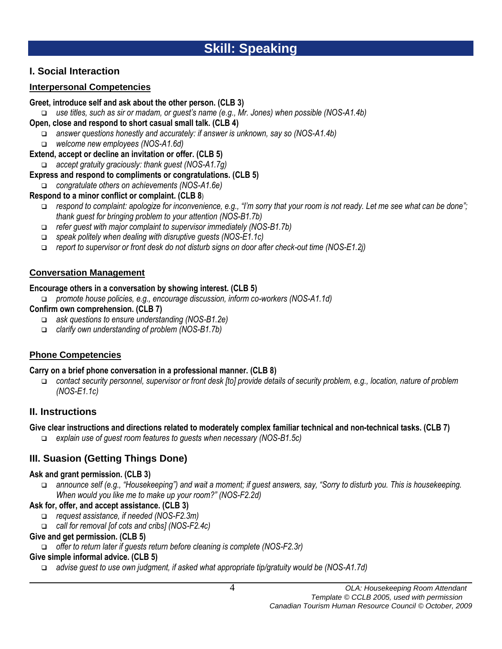## **I. Social Interaction**

## **Interpersonal Competencies**

## **Greet, introduce self and ask about the other person. (CLB 3)**

*use titles, such as sir or madam, or guest's name (e.g., Mr. Jones) when possible (NOS-A1.4b)*

## **Open, close and respond to short casual small talk. (CLB 4)**

- *answer questions honestly and accurately: if answer is unknown, say so (NOS-A1.4b)*
- *welcome new employees (NOS-A1.6d)*

## **Extend, accept or decline an invitation or offer. (CLB 5)**

- *accept gratuity graciously: thank guest (NOS-A1.7g)*
- **Express and respond to compliments or congratulations. (CLB 5)**
- *congratulate others on achievements (NOS-A1.6e)*

## **Respond to a minor conflict or complaint. (CLB 8**)

- *respond to complaint: apologize for inconvenience, e.g., "I'm sorry that your room is not ready. Let me see what can be done"; thank guest for bringing problem to your attention (NOS-B1.7b)*
- *refer guest with major complaint to supervisor immediately (NOS-B1.7b)*
- *speak politely when dealing with disruptive guests (NOS-E1.1c)*
- *report to supervisor or front desk do not disturb signs on door after check-out time (NOS-E1.2j)*

## **Conversation Management**

## **Encourage others in a conversation by showing interest. (CLB 5)**

*promote house policies, e.g., encourage discussion, inform co-workers (NOS-A1.1d)*

## **Confirm own comprehension. (CLB 7)**

- *ask questions to ensure understanding (NOS-B1.2e)*
- *clarify own understanding of problem (NOS-B1.7b)*

## **Phone Competencies**

## **Carry on a brief phone conversation in a professional manner. (CLB 8)**

 *contact security personnel, supervisor or front desk [to] provide details of security problem, e.g., location, nature of problem (NOS-E1.1c)*

## **II. Instructions**

## **Give clear instructions and directions related to moderately complex familiar technical and non-technical tasks. (CLB 7)**

*explain use of guest room features to guests when necessary (NOS-B1.5c)*

## **III. Suasion (Getting Things Done)**

## **Ask and grant permission. (CLB 3)**

 *announce self (e.g., "Housekeeping") and wait a moment; if guest answers, say, "Sorry to disturb you. This is housekeeping. When would you like me to make up your room?" (NOS-F2.2d)*

## **Ask for, offer, and accept assistance. (CLB 3)**

- *request assistance, if needed (NOS-F2.3m)*
- *call for removal [of cots and cribs] (NOS-F2.4c)*

## **Give and get permission. (CLB 5)**

*offer to return later if guests return before cleaning is complete (NOS-F2.3r)*

## **Give simple informal advice. (CLB 5)**

*advise guest to use own judgment, if asked what appropriate tip/gratuity would be (NOS-A1.7d)*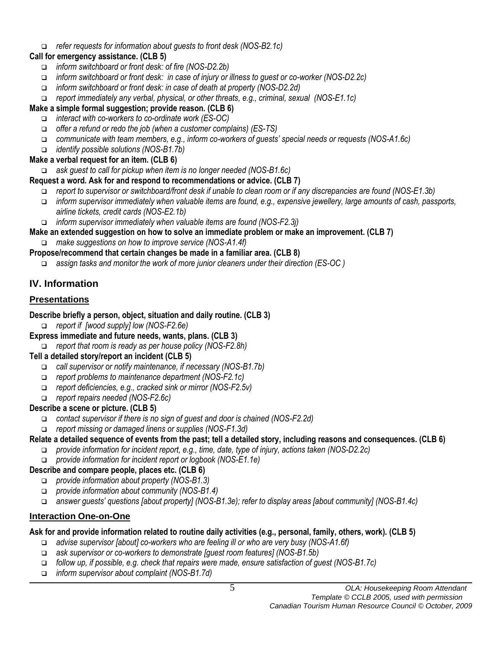#### *refer requests for information about guests to front desk (NOS-B2.1c)*

## **Call for emergency assistance. (CLB 5)**

- *inform switchboard or front desk: of fire (NOS-D2.2b)*
- *inform switchboard or front desk: in case of injury or illness to guest or co-worker (NOS-D2.2c)*
- *inform switchboard or front desk: in case of death at property (NOS-D2.2d)*
- *report immediately any verbal, physical, or other threats, e.g., criminal, sexual (NOS-E1.1c)*

## **Make a simple formal suggestion; provide reason. (CLB 6)**

- *interact with co-workers to co-ordinate work (ES-OC)*
- *offer a refund or redo the job (when a customer complains) (ES-TS)*
- *communicate with team members, e.g., inform co-workers of guests' special needs or requests (NOS-A1.6c)*
- *identify possible solutions (NOS-B1.7b)*

## **Make a verbal request for an item. (CLB 6)**

- *ask guest to call for pickup when item is no longer needed (NOS-B1.6c)*
- **Request a word. Ask for and respond to recommendations or advice. (CLB 7)**
	- *report to supervisor or switchboard/front desk if unable to clean room or if any discrepancies are found (NOS-E1.3b)*
	- *inform supervisor immediately when valuable items are found, e.g., expensive jewellery, large amounts of cash, passports, airline tickets, credit cards (NOS-E2.1b)*
	- *inform supervisor immediately when valuable items are found (NOS-F2.3j)*
- **Make an extended suggestion on how to solve an immediate problem or make an improvement. (CLB 7)** *make suggestions on how to improve service (NOS-A1.4f)*
- **Propose/recommend that certain changes be made in a familiar area. (CLB 8)**
	- *assign tasks and monitor the work of more junior cleaners under their direction (ES-OC )*

## **IV. Information**

## **Presentations**

#### **Describe briefly a person, object, situation and daily routine. (CLB 3)**

- *report if [wood supply] low (NOS-F2.6e)*
- **Express immediate and future needs, wants, plans. (CLB 3)**
	- *report that room is ready as per house policy (NOS-F2.8h)*

## **Tell a detailed story/report an incident (CLB 5)**

- *call supervisor or notify maintenance, if necessary (NOS-B1.7b)*
- *report problems to maintenance department (NOS-F2.1c)*
- *report deficiencies, e.g., cracked sink or mirror (NOS-F2.5v)*
- *report repairs needed (NOS-F2.6c)*

## **Describe a scene or picture. (CLB 5)**

- *contact supervisor if there is no sign of guest and door is chained (NOS-F2.2d)*
- *report missing or damaged linens or supplies (NOS-F1.3d)*

## **Relate a detailed sequence of events from the past; tell a detailed story, including reasons and consequences. (CLB 6)**

- *provide information for incident report, e.g., time, date, type of injury, actions taken (NOS-D2.2c)*
- *provide information for incident report or logbook (NOS-E1.1e)*

## **Describe and compare people, places etc. (CLB 6)**

- *provide information about property (NOS-B1.3)*
- *provide information about community (NOS-B1.4)*
- *answer guests' questions [about property] (NOS-B1.3e); refer to display areas [about community] (NOS-B1.4c)*

## **Interaction One-on-One**

## **Ask for and provide information related to routine daily activities (e.g., personal, family, others, work). (CLB 5)**

- *advise supervisor [about] co-workers who are feeling ill or who are very busy (NOS-A1.6f)*
- *ask supervisor or co-workers to demonstrate [guest room features] (NOS-B1.5b)*
- *follow up, if possible, e.g. check that repairs were made, ensure satisfaction of guest (NOS-B1.7c)*
- *inform supervisor about complaint (NOS-B1.7d)*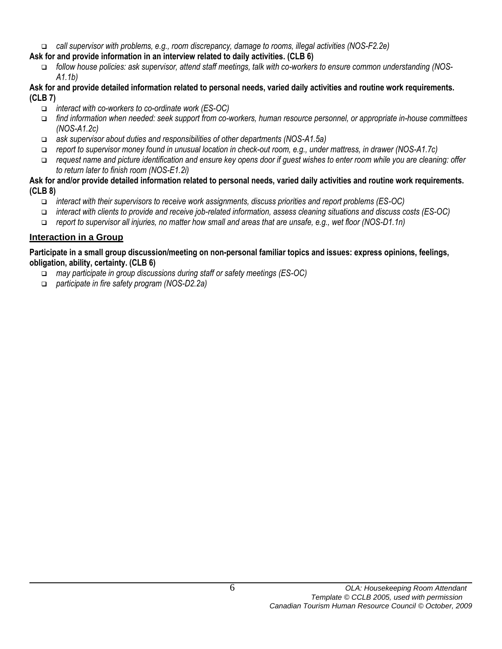*call supervisor with problems, e.g., room discrepancy, damage to rooms, illegal activities (NOS-F2.2e)* 

## **Ask for and provide information in an interview related to daily activities. (CLB 6)**

 *follow house policies: ask supervisor, attend staff meetings, talk with co-workers to ensure common understanding (NOS-A1.1b)*

#### **Ask for and provide detailed information related to personal needs, varied daily activities and routine work requirements. (CLB 7)**

- *interact with co-workers to co-ordinate work (ES-OC)*
- *find information when needed: seek support from co-workers, human resource personnel, or appropriate in-house committees (NOS-A1.2c)*
- *ask supervisor about duties and responsibilities of other departments (NOS-A1.5a)*
- *report to supervisor money found in unusual location in check-out room, e.g., under mattress, in drawer (NOS-A1.7c)*
- *request name and picture identification and ensure key opens door if guest wishes to enter room while you are cleaning: offer to return later to finish room (NOS-E1.2i)*

#### **Ask for and/or provide detailed information related to personal needs, varied daily activities and routine work requirements. (CLB 8)**

- *interact with their supervisors to receive work assignments, discuss priorities and report problems (ES-OC)*
- *interact with clients to provide and receive job-related information, assess cleaning situations and discuss costs (ES-OC)*
- *report to supervisor all injuries, no matter how small and areas that are unsafe, e.g., wet floor (NOS-D1.1n)*

## **Interaction in a Group**

#### **Participate in a small group discussion/meeting on non-personal familiar topics and issues: express opinions, feelings, obligation, ability, certainty. (CLB 6)**

- *may participate in group discussions during staff or safety meetings (ES-OC)*
- *participate in fire safety program (NOS-D2.2a)*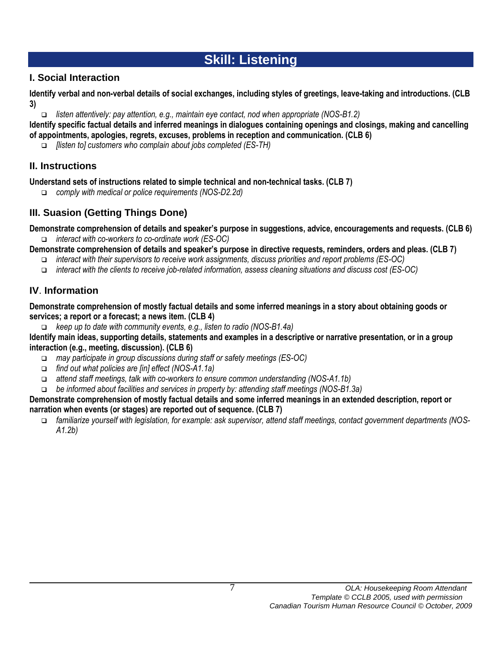# **Skill: Listening**

## **I. Social Interaction**

**Identify verbal and non-verbal details of social exchanges, including styles of greetings, leave-taking and introductions. (CLB 3)**

*listen attentively: pay attention, e.g., maintain eye contact, nod when appropriate (NOS-B1.2)*

**Identify specific factual details and inferred meanings in dialogues containing openings and closings, making and cancelling of appointments, apologies, regrets, excuses, problems in reception and communication. (CLB 6)**

*[listen to] customers who complain about jobs completed (ES-TH)*

## **II. Instructions**

**Understand sets of instructions related to simple technical and non-technical tasks. (CLB 7)**

*comply with medical or police requirements (NOS-D2.2d)*

## **III. Suasion (Getting Things Done)**

**Demonstrate comprehension of details and speaker's purpose in suggestions, advice, encouragements and requests. (CLB 6)** *interact with co-workers to co-ordinate work (ES-OC)*

**Demonstrate comprehension of details and speaker's purpose in directive requests, reminders, orders and pleas. (CLB 7)**

- *interact with their supervisors to receive work assignments, discuss priorities and report problems (ES-OC)*
- *interact with the clients to receive job-related information, assess cleaning situations and discuss cost (ES-OC)*

## **IV**. **Information**

**Demonstrate comprehension of mostly factual details and some inferred meanings in a story about obtaining goods or services; a report or a forecast; a news item. (CLB 4)**

*keep up to date with community events, e.g., listen to radio (NOS-B1.4a)*

**Identify main ideas, supporting details, statements and examples in a descriptive or narrative presentation, or in a group interaction (e.g., meeting, discussion). (CLB 6)**

- *may participate in group discussions during staff or safety meetings (ES-OC)*
- *find out what policies are [in] effect (NOS-A1.1a)*
- *attend staff meetings, talk with co-workers to ensure common understanding (NOS-A1.1b)*

*be informed about facilities and services in property by: attending staff meetings (NOS-B1.3a)*

#### **Demonstrate comprehension of mostly factual details and some inferred meanings in an extended description, report or narration when events (or stages) are reported out of sequence. (CLB 7)**

 *familiarize yourself with legislation, for example: ask supervisor, attend staff meetings, contact government departments (NOS-A1.2b)*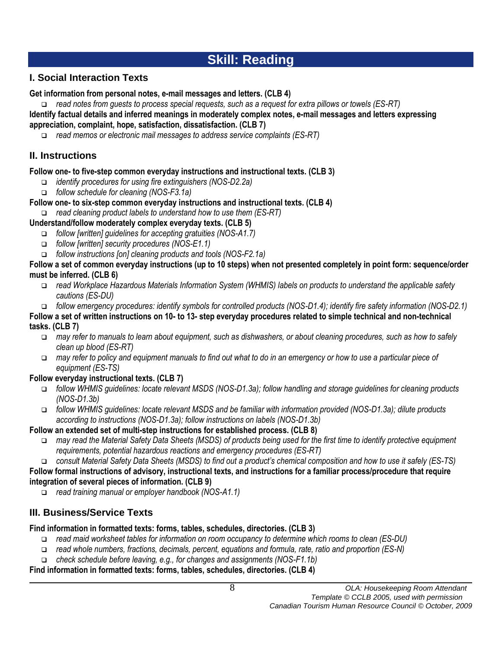# **Skill: Reading**

## **I. Social Interaction Texts**

## **Get information from personal notes, e-mail messages and letters. (CLB 4)**

 *read notes from guests to process special requests, such as a request for extra pillows or towels (ES-RT)*  **Identify factual details and inferred meanings in moderately complex notes, e-mail messages and letters expressing** 

**appreciation, complaint, hope, satisfaction, dissatisfaction. (CLB 7)**

*read memos or electronic mail messages to address service complaints (ES-RT)* 

## **II. Instructions**

## **Follow one- to five-step common everyday instructions and instructional texts. (CLB 3)**

- *identify procedures for using fire extinguishers (NOS-D2.2a)*
- *follow schedule for cleaning (NOS-F3.1a)*
- **Follow one- to six-step common everyday instructions and instructional texts. (CLB 4)**
- *read cleaning product labels to understand how to use them (ES-RT)*

## **Understand/follow moderately complex everyday texts. (CLB 5)**

- *follow [written] guidelines for accepting gratuities (NOS-A1.7)*
- *follow [written] security procedures (NOS-E1.1)*
- *follow instructions [on] cleaning products and tools (NOS-F2.1a)*

#### **Follow a set of common everyday instructions (up to 10 steps) when not presented completely in point form: sequence/order must be inferred. (CLB 6)**

- *read Workplace Hazardous Materials Information System (WHMIS) labels on products to understand the applicable safety cautions (ES-DU)*
- *follow emergency procedures: identify symbols for controlled products (NOS-D1.4); identify fire safety information (NOS-D2.1)*

#### **Follow a set of written instructions on 10- to 13- step everyday procedures related to simple technical and non-technical tasks. (CLB 7)**

- *may refer to manuals to learn about equipment, such as dishwashers, or about cleaning procedures, such as how to safely clean up blood (ES-RT)*
- *may refer to policy and equipment manuals to find out what to do in an emergency or how to use a particular piece of equipment (ES-TS)*

## **Follow everyday instructional texts. (CLB 7)**

- *follow WHMIS guidelines: locate relevant MSDS (NOS-D1.3a); follow handling and storage guidelines for cleaning products (NOS-D1.3b)*
- *follow WHMIS guidelines: locate relevant MSDS and be familiar with information provided (NOS-D1.3a); dilute products according to instructions (NOS-D1.3a); follow instructions on labels (NOS-D1.3b)*

## **Follow an extended set of multi-step instructions for established process. (CLB 8)**

 *may read the Material Safety Data Sheets (MSDS) of products being used for the first time to identify protective equipment requirements, potential hazardous reactions and emergency procedures (ES-RT)*

*consult Material Safety Data Sheets (MSDS) to find out a product's chemical composition and how to use it safely (ES-TS)*

**Follow formal instructions of advisory, instructional texts, and instructions for a familiar process/procedure that require integration of several pieces of information. (CLB 9)**

*read training manual or employer handbook (NOS-A1.1)*

## **III. Business/Service Texts**

## **Find information in formatted texts: forms, tables, schedules, directories. (CLB 3)**

- *read maid worksheet tables for information on room occupancy to determine which rooms to clean (ES-DU)*
- *read whole numbers, fractions, decimals, percent, equations and formula, rate, ratio and proportion (ES-N)*
- *check schedule before leaving, e.g., for changes and assignments (NOS-F1.1b)*

## **Find information in formatted texts: forms, tables, schedules, directories. (CLB 4)**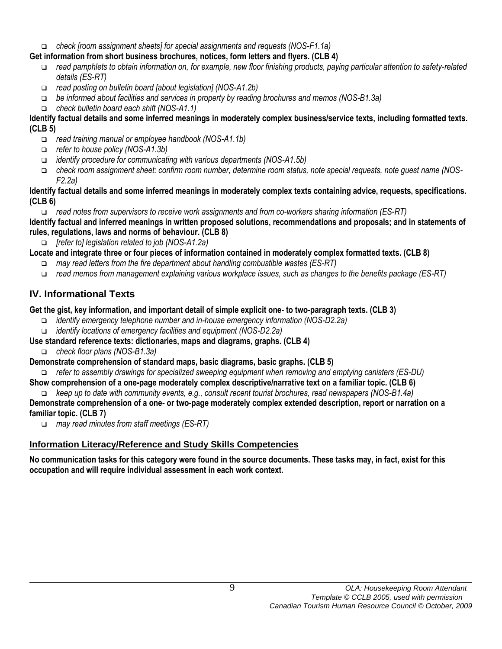*check [room assignment sheets] for special assignments and requests (NOS-F1.1a)*

## **Get information from short business brochures, notices, form letters and flyers. (CLB 4)**

- *read pamphlets to obtain information on, for example, new floor finishing products, paying particular attention to safety-related details (ES-RT)*
- *read posting on bulletin board [about legislation] (NOS-A1.2b)*
- *be informed about facilities and services in property by reading brochures and memos (NOS-B1.3a)*
- *check bulletin board each shift (NOS-A1.1)*

## **Identify factual details and some inferred meanings in moderately complex business/service texts, including formatted texts. (CLB 5)**

- *read training manual or employee handbook (NOS-A1.1b)*
- *refer to house policy (NOS-A1.3b)*
- *identify procedure for communicating with various departments (NOS-A1.5b)*
- *check room assignment sheet: confirm room number, determine room status, note special requests, note guest name (NOS-F2.2a)*

## **Identify factual details and some inferred meanings in moderately complex texts containing advice, requests, specifications. (CLB 6)**

*read notes from supervisors to receive work assignments and from co-workers sharing information (ES-RT)*

**Identify factual and inferred meanings in written proposed solutions, recommendations and proposals; and in statements of rules, regulations, laws and norms of behaviour. (CLB 8)**

*[refer to] legislation related to job (NOS-A1.2a)*

- **Locate and integrate three or four pieces of information contained in moderately complex formatted texts. (CLB 8)**
	- *may read letters from the fire department about handling combustible wastes (ES-RT)*
	- *read memos from management explaining various workplace issues, such as changes to the benefits package (ES-RT)*

# **IV. Informational Texts**

## **Get the gist, key information, and important detail of simple explicit one- to two-paragraph texts. (CLB 3)**

- *identify emergency telephone number and in-house emergency information (NOS-D2.2a)*
- *identify locations of emergency facilities and equipment (NOS-D2.2a)*
- **Use standard reference texts: dictionaries, maps and diagrams, graphs. (CLB 4)**
	- *check floor plans (NOS-B1.3a)*
- **Demonstrate comprehension of standard maps, basic diagrams, basic graphs. (CLB 5)**
- *refer to assembly drawings for specialized sweeping equipment when removing and emptying canisters (ES-DU)*

**Show comprehension of a one-page moderately complex descriptive/narrative text on a familiar topic. (CLB 6)**

*keep up to date with community events, e.g., consult recent tourist brochures, read newspapers (NOS-B1.4a)*

## **Demonstrate comprehension of a one- or two-page moderately complex extended description, report or narration on a familiar topic. (CLB 7)**

*may read minutes from staff meetings (ES-RT)* 

# **Information Literacy/Reference and Study Skills Competencies**

**No communication tasks for this category were found in the source documents. These tasks may, in fact, exist for this occupation and will require individual assessment in each work context.**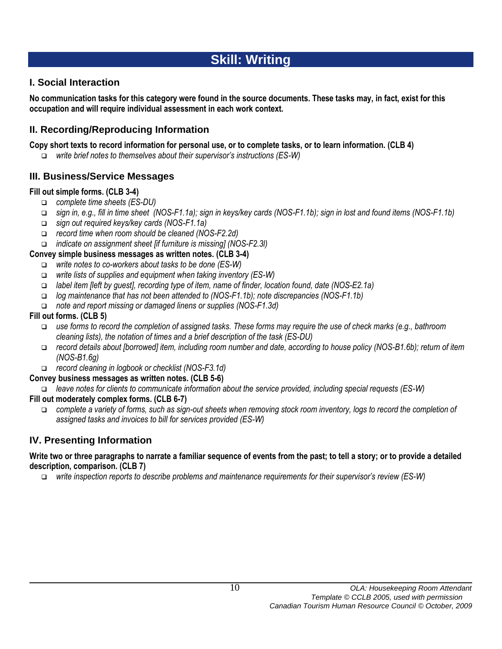# **Skill: Writing**

## **I. Social Interaction**

**No communication tasks for this category were found in the source documents. These tasks may, in fact, exist for this occupation and will require individual assessment in each work context.**

## **II. Recording/Reproducing Information**

#### **Copy short texts to record information for personal use, or to complete tasks, or to learn information. (CLB 4)**

*write brief notes to themselves about their supervisor's instructions (ES-W)*

## **III. Business/Service Messages**

## **Fill out simple forms. (CLB 3-4)**

- *complete time sheets (ES-DU)*
- *sign in, e.g., fill in time sheet (NOS-F1.1a); sign in keys/key cards (NOS-F1.1b); sign in lost and found items (NOS-F1.1b)*
- *sign out required keys/key cards (NOS-F1.1a)*
- *record time when room should be cleaned (NOS-F2.2d)*
- *indicate on assignment sheet [if furniture is missing] (NOS-F2.3l)*

## **Convey simple business messages as written notes. (CLB 3-4)**

- *write notes to co-workers about tasks to be done (ES-W)*
- *write lists of supplies and equipment when taking inventory (ES-W)*
- *label item [left by guest], recording type of item, name of finder, location found, date (NOS-E2.1a)*
- *log maintenance that has not been attended to (NOS-F1.1b); note discrepancies (NOS-F1.1b)*
- *note and report missing or damaged linens or supplies (NOS-F1.3d)*

## **Fill out forms. (CLB 5)**

- *use forms to record the completion of assigned tasks. These forms may require the use of check marks (e.g., bathroom cleaning lists), the notation of times and a brief description of the task (ES-DU)*
- *record details about [borrowed] item, including room number and date, according to house policy (NOS-B1.6b); return of item (NOS-B1.6g)*
- *record cleaning in logbook or checklist (NOS-F3.1d)*

## **Convey business messages as written notes. (CLB 5-6)**

*leave notes for clients to communicate information about the service provided, including special requests (ES-W)*

## **Fill out moderately complex forms. (CLB 6-7)**

 *complete a variety of forms, such as sign-out sheets when removing stock room inventory, logs to record the completion of assigned tasks and invoices to bill for services provided (ES-W)*

## **IV. Presenting Information**

#### **Write two or three paragraphs to narrate a familiar sequence of events from the past; to tell a story; or to provide a detailed description, comparison. (CLB 7)**

*write inspection reports to describe problems and maintenance requirements for their supervisor's review (ES-W)*